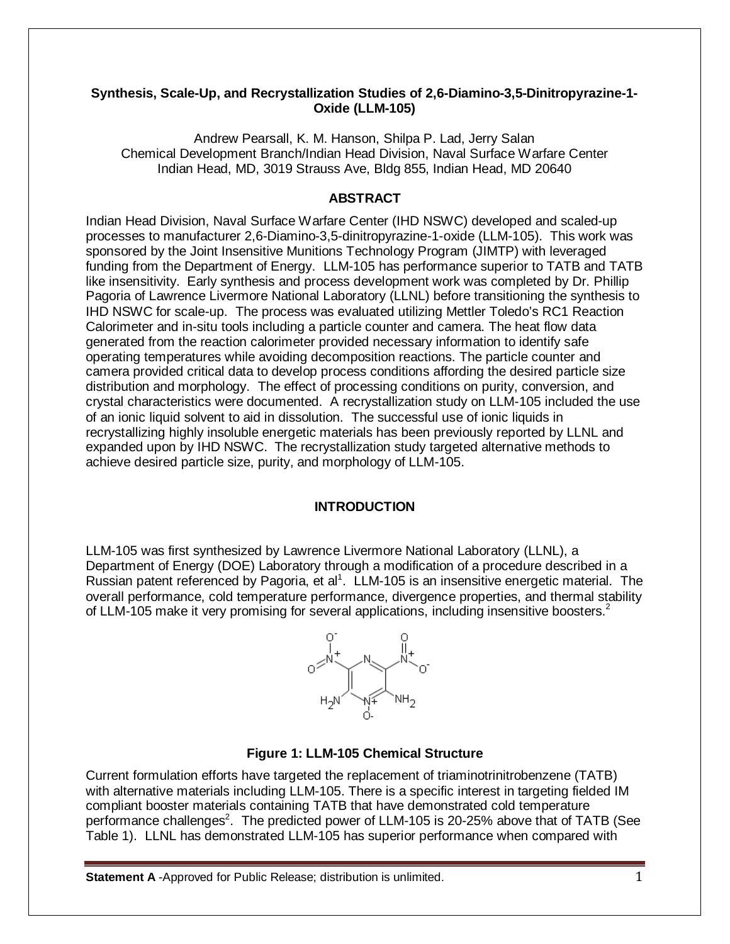#### **Synthesis, Scale-Up, and Recrystallization Studies of 2,6-Diamino-3,5-Dinitropyrazine-1- Oxide (LLM-105)**

Andrew Pearsall, K. M. Hanson, Shilpa P. Lad, Jerry Salan Chemical Development Branch/Indian Head Division, Naval Surface Warfare Center Indian Head, MD, 3019 Strauss Ave, Bldg 855, Indian Head, MD 20640

# **ABSTRACT**

Indian Head Division, Naval Surface Warfare Center (IHD NSWC) developed and scaled-up processes to manufacturer 2,6-Diamino-3,5-dinitropyrazine-1-oxide (LLM-105). This work was sponsored by the Joint Insensitive Munitions Technology Program (JIMTP) with leveraged funding from the Department of Energy. LLM-105 has performance superior to TATB and TATB like insensitivity. Early synthesis and process development work was completed by Dr. Phillip Pagoria of Lawrence Livermore National Laboratory (LLNL) before transitioning the synthesis to IHD NSWC for scale-up. The process was evaluated utilizing Mettler Toledo's RC1 Reaction Calorimeter and in-situ tools including a particle counter and camera. The heat flow data generated from the reaction calorimeter provided necessary information to identify safe operating temperatures while avoiding decomposition reactions. The particle counter and camera provided critical data to develop process conditions affording the desired particle size distribution and morphology. The effect of processing conditions on purity, conversion, and crystal characteristics were documented. A recrystallization study on LLM-105 included the use of an ionic liquid solvent to aid in dissolution. The successful use of ionic liquids in recrystallizing highly insoluble energetic materials has been previously reported by LLNL and expanded upon by IHD NSWC. The recrystallization study targeted alternative methods to achieve desired particle size, purity, and morphology of LLM-105.

# **INTRODUCTION**

LLM-105 was first synthesized by Lawrence Livermore National Laboratory (LLNL), a Department of Energy (DOE) Laboratory through a modification of a procedure described in a Russian patent referenced by Pagoria, et al<sup>1</sup>. LLM-105 is an insensitive energetic material. The overall performance, cold temperature performance, divergence properties, and thermal stability of LLM-105 make it very promising for several applications, including insensitive boosters.<sup>2</sup>



#### **Figure 1: LLM-105 Chemical Structure**

Current formulation efforts have targeted the replacement of triaminotrinitrobenzene (TATB) with alternative materials including LLM-105. There is a specific interest in targeting fielded IM compliant booster materials containing TATB that have demonstrated cold temperature performance challenges<sup>2</sup>. The predicted power of LLM-105 is 20-25% above that of TATB (See Table 1). LLNL has demonstrated LLM-105 has superior performance when compared with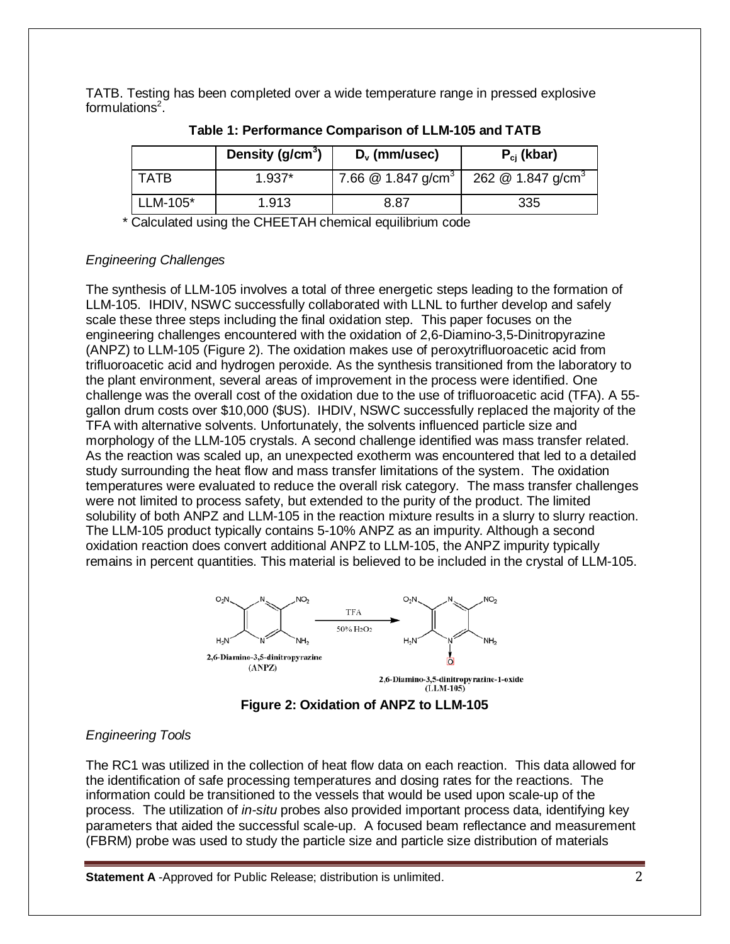TATB. Testing has been completed over a wide temperature range in pressed explosive formulations $2$ .

|            | Density ( $g/cm3$ ) | $D_v$ (mm/usec)                  | $P_{ci}$ (kbar)                 |
|------------|---------------------|----------------------------------|---------------------------------|
| TATR       | $1.937*$            | 7.66 $@$ 1.847 g/cm <sup>3</sup> | 262 $@$ 1.847 g/cm <sup>3</sup> |
| $LLM-105*$ | 1.913               | 8.87                             | 335                             |

**Table 1: Performance Comparison of LLM-105 and TATB**

\* Calculated using the CHEETAH chemical equilibrium code

## *Engineering Challenges*

The synthesis of LLM-105 involves a total of three energetic steps leading to the formation of LLM-105. IHDIV, NSWC successfully collaborated with LLNL to further develop and safely scale these three steps including the final oxidation step. This paper focuses on the engineering challenges encountered with the oxidation of 2,6-Diamino-3,5-Dinitropyrazine (ANPZ) to LLM-105 (Figure 2). The oxidation makes use of peroxytrifluoroacetic acid from trifluoroacetic acid and hydrogen peroxide. As the synthesis transitioned from the laboratory to the plant environment, several areas of improvement in the process were identified. One challenge was the overall cost of the oxidation due to the use of trifluoroacetic acid (TFA). A 55 gallon drum costs over \$10,000 (\$US). IHDIV, NSWC successfully replaced the majority of the TFA with alternative solvents. Unfortunately, the solvents influenced particle size and morphology of the LLM-105 crystals. A second challenge identified was mass transfer related. As the reaction was scaled up, an unexpected exotherm was encountered that led to a detailed study surrounding the heat flow and mass transfer limitations of the system. The oxidation temperatures were evaluated to reduce the overall risk category. The mass transfer challenges were not limited to process safety, but extended to the purity of the product. The limited solubility of both ANPZ and LLM-105 in the reaction mixture results in a slurry to slurry reaction. The LLM-105 product typically contains 5-10% ANPZ as an impurity. Although a second oxidation reaction does convert additional ANPZ to LLM-105, the ANPZ impurity typically remains in percent quantities. This material is believed to be included in the crystal of LLM-105.





# *Engineering Tools*

The RC1 was utilized in the collection of heat flow data on each reaction. This data allowed for the identification of safe processing temperatures and dosing rates for the reactions. The information could be transitioned to the vessels that would be used upon scale-up of the process. The utilization of *in-situ* probes also provided important process data, identifying key parameters that aided the successful scale-up. A focused beam reflectance and measurement (FBRM) probe was used to study the particle size and particle size distribution of materials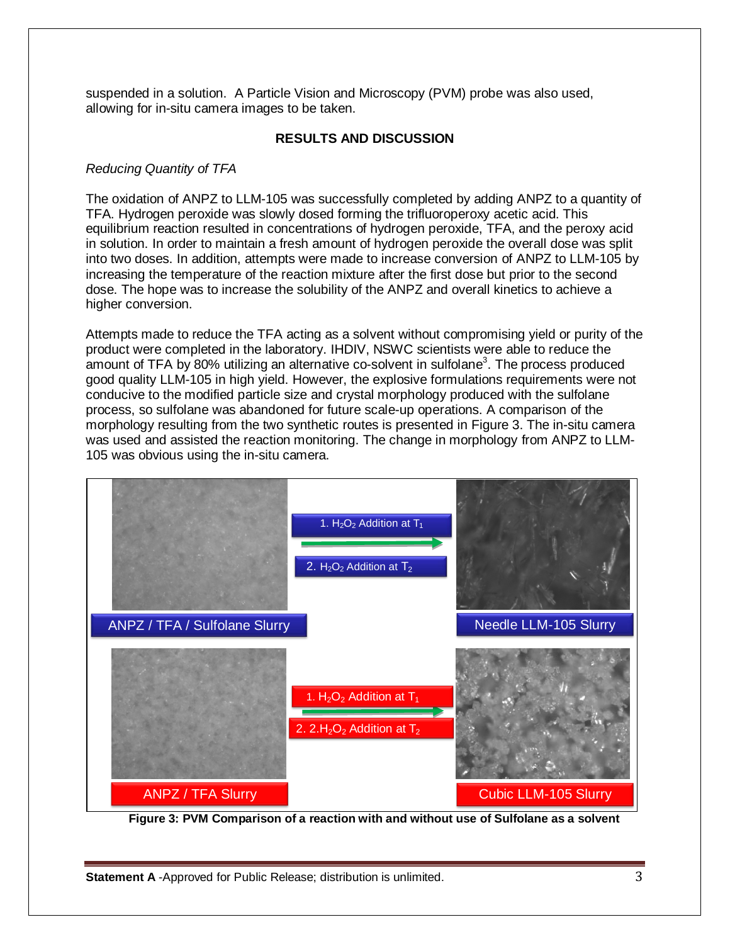suspended in a solution. A Particle Vision and Microscopy (PVM) probe was also used, allowing for in-situ camera images to be taken.

#### **RESULTS AND DISCUSSION**

#### *Reducing Quantity of TFA*

The oxidation of ANPZ to LLM-105 was successfully completed by adding ANPZ to a quantity of TFA. Hydrogen peroxide was slowly dosed forming the trifluoroperoxy acetic acid. This equilibrium reaction resulted in concentrations of hydrogen peroxide, TFA, and the peroxy acid in solution. In order to maintain a fresh amount of hydrogen peroxide the overall dose was split into two doses. In addition, attempts were made to increase conversion of ANPZ to LLM-105 by increasing the temperature of the reaction mixture after the first dose but prior to the second dose. The hope was to increase the solubility of the ANPZ and overall kinetics to achieve a higher conversion.

Attempts made to reduce the TFA acting as a solvent without compromising yield or purity of the product were completed in the laboratory. IHDIV, NSWC scientists were able to reduce the amount of TFA by 80% utilizing an alternative co-solvent in sulfolane<sup>3</sup>. The process produced good quality LLM-105 in high yield. However, the explosive formulations requirements were not conducive to the modified particle size and crystal morphology produced with the sulfolane process, so sulfolane was abandoned for future scale-up operations. A comparison of the morphology resulting from the two synthetic routes is presented in Figure 3. The in-situ camera was used and assisted the reaction monitoring. The change in morphology from ANPZ to LLM-105 was obvious using the in-situ camera.



**Figure 3: PVM Comparison of a reaction with and without use of Sulfolane as a solvent**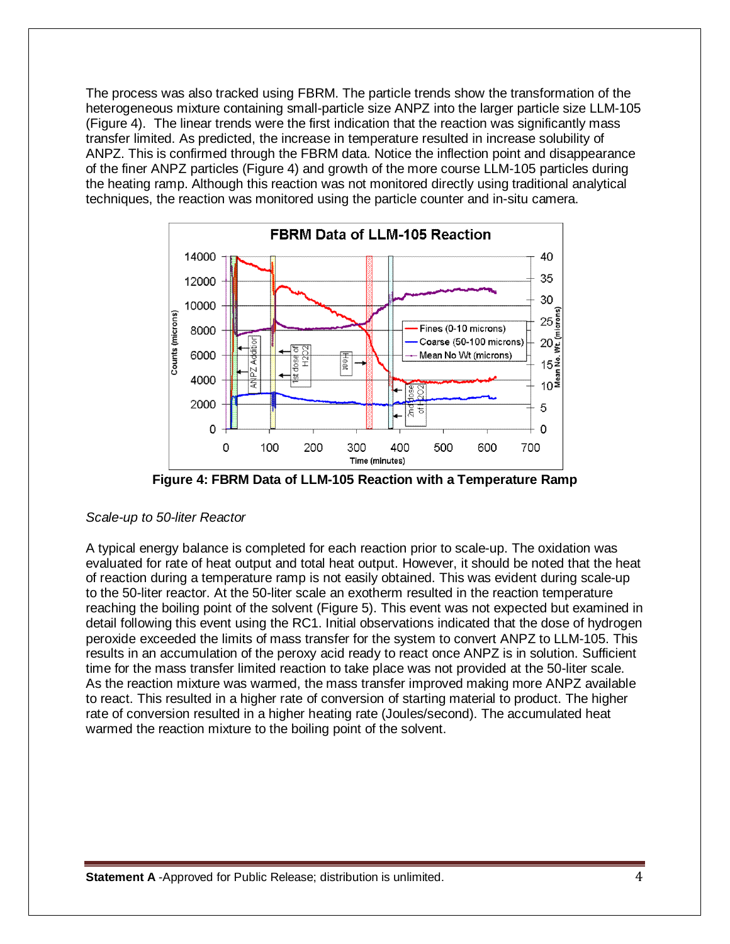The process was also tracked using FBRM. The particle trends show the transformation of the heterogeneous mixture containing small-particle size ANPZ into the larger particle size LLM-105 (Figure 4). The linear trends were the first indication that the reaction was significantly mass transfer limited. As predicted, the increase in temperature resulted in increase solubility of ANPZ. This is confirmed through the FBRM data. Notice the inflection point and disappearance of the finer ANPZ particles (Figure 4) and growth of the more course LLM-105 particles during the heating ramp. Although this reaction was not monitored directly using traditional analytical techniques, the reaction was monitored using the particle counter and in-situ camera.



**Figure 4: FBRM Data of LLM-105 Reaction with a Temperature Ramp**

#### *Scale-up to 50-liter Reactor*

A typical energy balance is completed for each reaction prior to scale-up. The oxidation was evaluated for rate of heat output and total heat output. However, it should be noted that the heat of reaction during a temperature ramp is not easily obtained. This was evident during scale-up to the 50-liter reactor. At the 50-liter scale an exotherm resulted in the reaction temperature reaching the boiling point of the solvent (Figure 5). This event was not expected but examined in detail following this event using the RC1. Initial observations indicated that the dose of hydrogen peroxide exceeded the limits of mass transfer for the system to convert ANPZ to LLM-105. This results in an accumulation of the peroxy acid ready to react once ANPZ is in solution. Sufficient time for the mass transfer limited reaction to take place was not provided at the 50-liter scale. As the reaction mixture was warmed, the mass transfer improved making more ANPZ available to react. This resulted in a higher rate of conversion of starting material to product. The higher rate of conversion resulted in a higher heating rate (Joules/second). The accumulated heat warmed the reaction mixture to the boiling point of the solvent.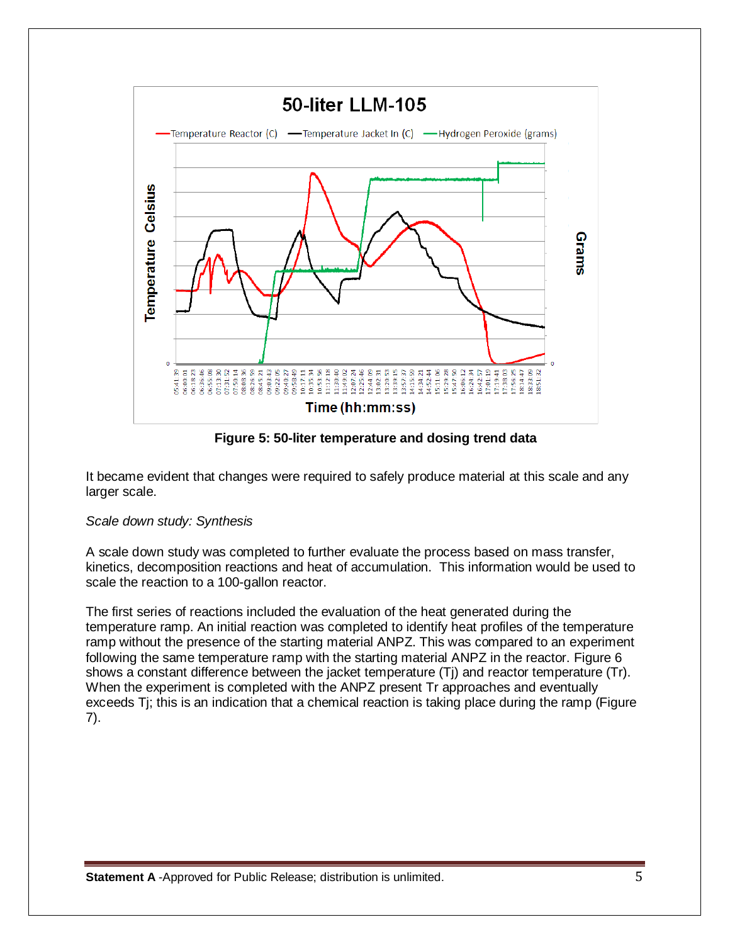

**Figure 5: 50-liter temperature and dosing trend data**

It became evident that changes were required to safely produce material at this scale and any larger scale.

#### *Scale down study: Synthesis*

A scale down study was completed to further evaluate the process based on mass transfer, kinetics, decomposition reactions and heat of accumulation. This information would be used to scale the reaction to a 100-gallon reactor.

The first series of reactions included the evaluation of the heat generated during the temperature ramp. An initial reaction was completed to identify heat profiles of the temperature ramp without the presence of the starting material ANPZ. This was compared to an experiment following the same temperature ramp with the starting material ANPZ in the reactor. Figure 6 shows a constant difference between the jacket temperature (Tj) and reactor temperature (Tr). When the experiment is completed with the ANPZ present Tr approaches and eventually exceeds Tj; this is an indication that a chemical reaction is taking place during the ramp (Figure 7).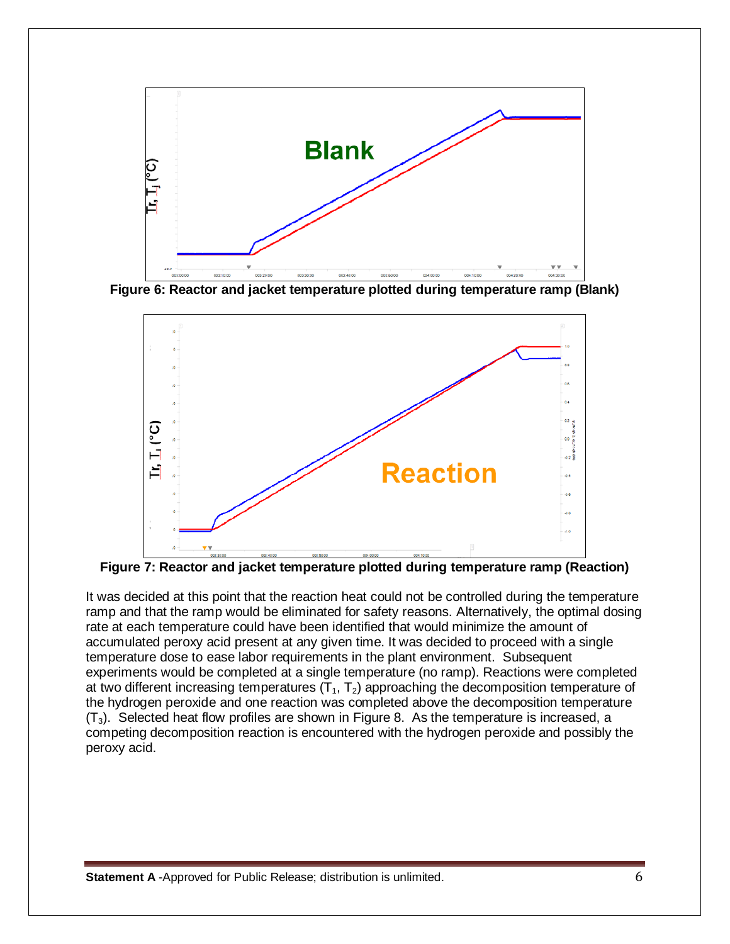

**Figure 6: Reactor and jacket temperature plotted during temperature ramp (Blank)**



**Figure 7: Reactor and jacket temperature plotted during temperature ramp (Reaction)**

It was decided at this point that the reaction heat could not be controlled during the temperature ramp and that the ramp would be eliminated for safety reasons. Alternatively, the optimal dosing rate at each temperature could have been identified that would minimize the amount of accumulated peroxy acid present at any given time. It was decided to proceed with a single temperature dose to ease labor requirements in the plant environment. Subsequent experiments would be completed at a single temperature (no ramp). Reactions were completed at two different increasing temperatures  $(T_1, T_2)$  approaching the decomposition temperature of the hydrogen peroxide and one reaction was completed above the decomposition temperature  $(T_3)$ . Selected heat flow profiles are shown in Figure 8. As the temperature is increased, a competing decomposition reaction is encountered with the hydrogen peroxide and possibly the peroxy acid.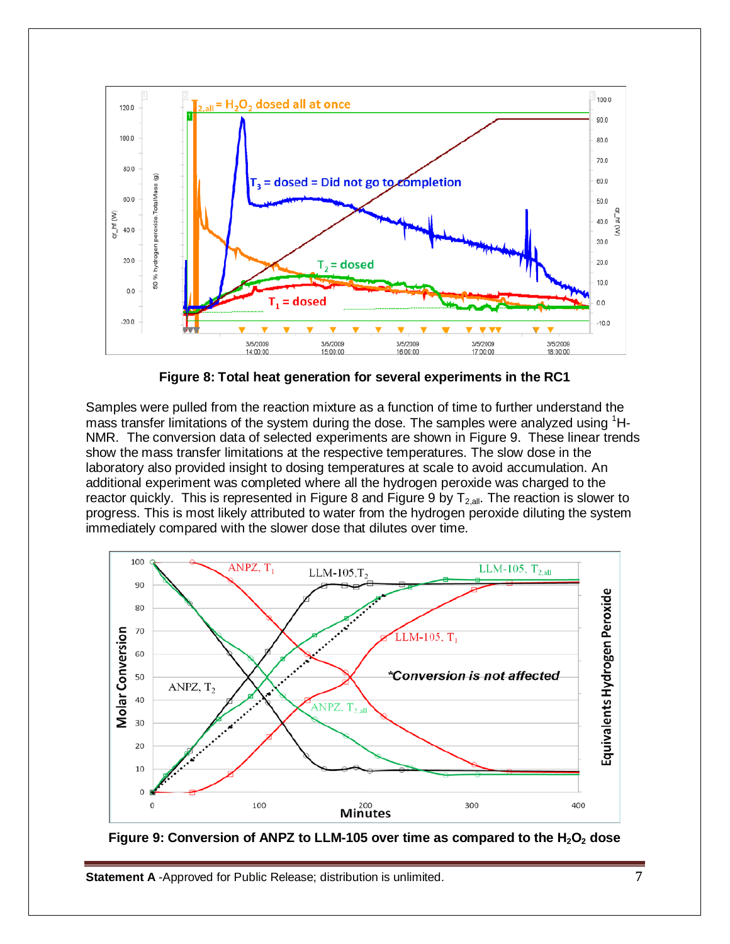

**Figure 8: Total heat generation for several experiments in the RC1**

Samples were pulled from the reaction mixture as a function of time to further understand the mass transfer limitations of the system during the dose. The samples were analyzed using <sup>1</sup>H-NMR. The conversion data of selected experiments are shown in Figure 9. These linear trends show the mass transfer limitations at the respective temperatures. The slow dose in the laboratory also provided insight to dosing temperatures at scale to avoid accumulation. An additional experiment was completed where all the hydrogen peroxide was charged to the reactor quickly. This is represented in Figure 8 and Figure 9 by  $T_{2,all}$ . The reaction is slower to progress. This is most likely attributed to water from the hydrogen peroxide diluting the system immediately compared with the slower dose that dilutes over time.



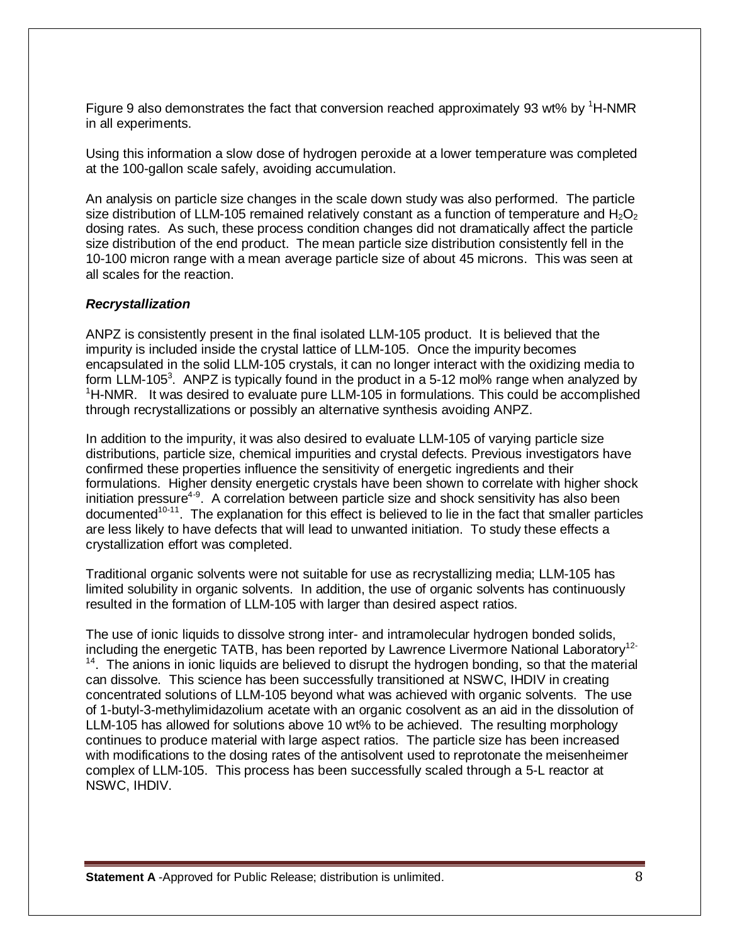Figure 9 also demonstrates the fact that conversion reached approximately 93 wt% by <sup>1</sup>H-NMR in all experiments.

Using this information a slow dose of hydrogen peroxide at a lower temperature was completed at the 100-gallon scale safely, avoiding accumulation.

An analysis on particle size changes in the scale down study was also performed. The particle size distribution of LLM-105 remained relatively constant as a function of temperature and  $H_2O_2$ dosing rates. As such, these process condition changes did not dramatically affect the particle size distribution of the end product. The mean particle size distribution consistently fell in the 10-100 micron range with a mean average particle size of about 45 microns. This was seen at all scales for the reaction.

#### *Recrystallization*

ANPZ is consistently present in the final isolated LLM-105 product. It is believed that the impurity is included inside the crystal lattice of LLM-105. Once the impurity becomes encapsulated in the solid LLM-105 crystals, it can no longer interact with the oxidizing media to form LLM-105<sup>3</sup>. ANPZ is typically found in the product in a 5-12 mol% range when analyzed by <sup>1</sup>H-NMR. It was desired to evaluate pure LLM-105 in formulations. This could be accomplished through recrystallizations or possibly an alternative synthesis avoiding ANPZ.

In addition to the impurity, it was also desired to evaluate LLM-105 of varying particle size distributions, particle size, chemical impurities and crystal defects. Previous investigators have confirmed these properties influence the sensitivity of energetic ingredients and their formulations. Higher density energetic crystals have been shown to correlate with higher shock initiation pressure<sup>4-9</sup>. A correlation between particle size and shock sensitivity has also been  $d$ ocumented<sup>10-11</sup>. The explanation for this effect is believed to lie in the fact that smaller particles are less likely to have defects that will lead to unwanted initiation. To study these effects a crystallization effort was completed.

Traditional organic solvents were not suitable for use as recrystallizing media; LLM-105 has limited solubility in organic solvents. In addition, the use of organic solvents has continuously resulted in the formation of LLM-105 with larger than desired aspect ratios.

The use of ionic liquids to dissolve strong inter- and intramolecular hydrogen bonded solids, including the energetic TATB, has been reported by Lawrence Livermore National Laboratory<sup>12-</sup>  $14$ . The anions in ionic liquids are believed to disrupt the hydrogen bonding, so that the material can dissolve. This science has been successfully transitioned at NSWC, IHDIV in creating concentrated solutions of LLM-105 beyond what was achieved with organic solvents. The use of 1-butyl-3-methylimidazolium acetate with an organic cosolvent as an aid in the dissolution of LLM-105 has allowed for solutions above 10 wt% to be achieved. The resulting morphology continues to produce material with large aspect ratios. The particle size has been increased with modifications to the dosing rates of the antisolvent used to reprotonate the meisenheimer complex of LLM-105. This process has been successfully scaled through a 5-L reactor at NSWC, IHDIV.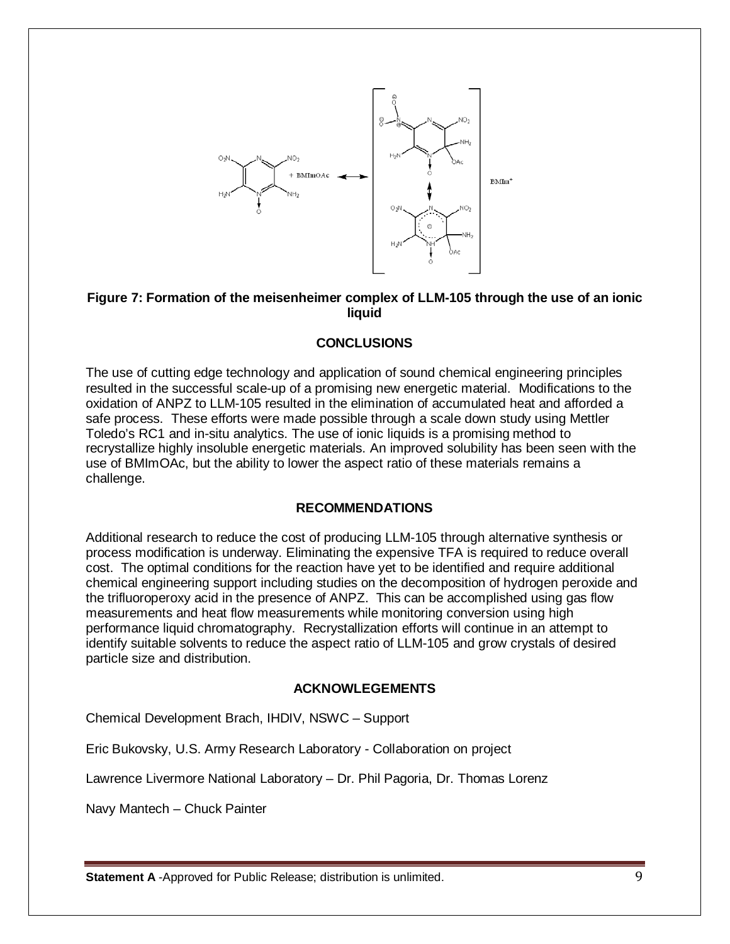

#### **Figure 7: Formation of the meisenheimer complex of LLM-105 through the use of an ionic liquid**

#### **CONCLUSIONS**

The use of cutting edge technology and application of sound chemical engineering principles resulted in the successful scale-up of a promising new energetic material. Modifications to the oxidation of ANPZ to LLM-105 resulted in the elimination of accumulated heat and afforded a safe process. These efforts were made possible through a scale down study using Mettler Toledo's RC1 and in-situ analytics. The use of ionic liquids is a promising method to recrystallize highly insoluble energetic materials. An improved solubility has been seen with the use of BMImOAc, but the ability to lower the aspect ratio of these materials remains a challenge.

#### **RECOMMENDATIONS**

Additional research to reduce the cost of producing LLM-105 through alternative synthesis or process modification is underway. Eliminating the expensive TFA is required to reduce overall cost. The optimal conditions for the reaction have yet to be identified and require additional chemical engineering support including studies on the decomposition of hydrogen peroxide and the trifluoroperoxy acid in the presence of ANPZ. This can be accomplished using gas flow measurements and heat flow measurements while monitoring conversion using high performance liquid chromatography. Recrystallization efforts will continue in an attempt to identify suitable solvents to reduce the aspect ratio of LLM-105 and grow crystals of desired particle size and distribution.

#### **ACKNOWLEGEMENTS**

Chemical Development Brach, IHDIV, NSWC – Support

Eric Bukovsky, U.S. Army Research Laboratory - Collaboration on project

Lawrence Livermore National Laboratory – Dr. Phil Pagoria, Dr. Thomas Lorenz

Navy Mantech – Chuck Painter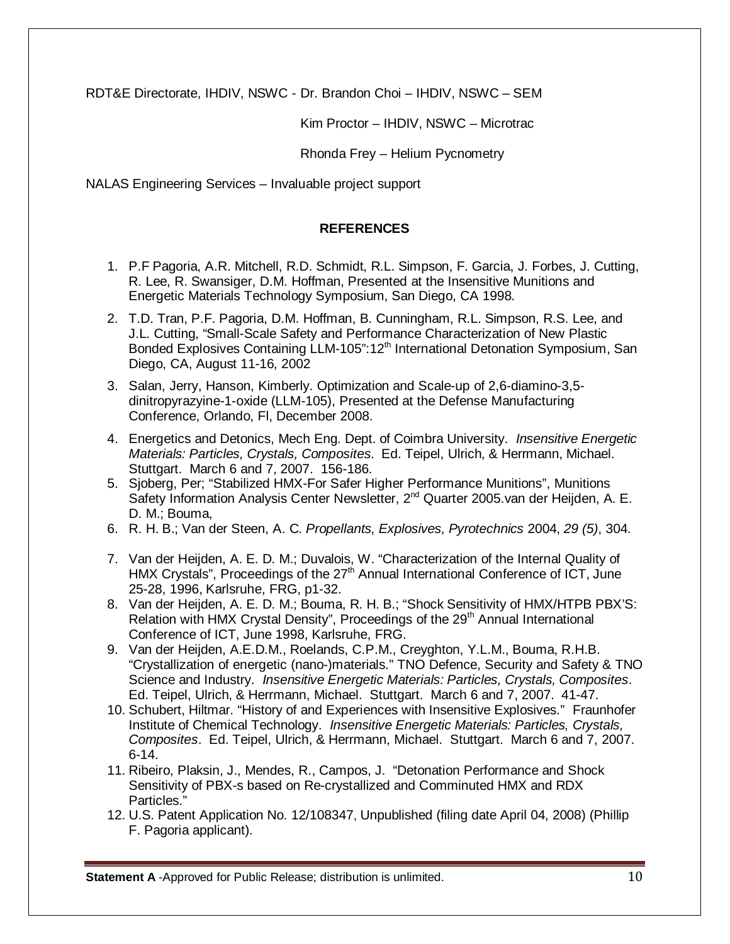RDT&E Directorate, IHDIV, NSWC - Dr. Brandon Choi – IHDIV, NSWC – SEM

Kim Proctor – IHDIV, NSWC – Microtrac

Rhonda Frey – Helium Pycnometry

NALAS Engineering Services – Invaluable project support

### **REFERENCES**

- 1. P.F Pagoria, A.R. Mitchell, R.D. Schmidt, R.L. Simpson, F. Garcia, J. Forbes, J. Cutting, R. Lee, R. Swansiger, D.M. Hoffman, Presented at the Insensitive Munitions and Energetic Materials Technology Symposium, San Diego, CA 1998.
- 2. T.D. Tran, P.F. Pagoria, D.M. Hoffman, B. Cunningham, R.L. Simpson, R.S. Lee, and J.L. Cutting, "Small-Scale Safety and Performance Characterization of New Plastic Bonded Explosives Containing LLM-105":12<sup>th</sup> International Detonation Symposium, San Diego, CA, August 11-16, 2002
- 3. Salan, Jerry, Hanson, Kimberly. Optimization and Scale-up of 2,6-diamino-3,5 dinitropyrazyine-1-oxide (LLM-105), Presented at the Defense Manufacturing Conference, Orlando, Fl, December 2008.
- 4. Energetics and Detonics, Mech Eng. Dept. of Coimbra University. *Insensitive Energetic Materials: Particles, Crystals, Composites*. Ed. Teipel, Ulrich, & Herrmann, Michael. Stuttgart. March 6 and 7, 2007. 156-186.
- 5. Sjoberg, Per; "Stabilized HMX-For Safer Higher Performance Munitions", Munitions Safety Information Analysis Center Newsletter, 2<sup>nd</sup> Quarter 2005 van der Heijden, A. E. D. M.; Bouma,
- 6. R. H. B.; Van der Steen, A. C. *Propellants, Explosives, Pyrotechnics* 2004, *29 (5)*, 304.
- 7. Van der Heijden, A. E. D. M.; Duvalois, W. "Characterization of the Internal Quality of HMX Crystals", Proceedings of the  $27<sup>th</sup>$  Annual International Conference of ICT, June 25-28, 1996, Karlsruhe, FRG, p1-32.
- 8. Van der Heijden, A. E. D. M.; Bouma, R. H. B.; "Shock Sensitivity of HMX/HTPB PBX'S: Relation with HMX Crystal Density", Proceedings of the 29<sup>th</sup> Annual International Conference of ICT, June 1998, Karlsruhe, FRG.
- 9. Van der Heijden, A.E.D.M., Roelands, C.P.M., Creyghton, Y.L.M., Bouma, R.H.B. "Crystallization of energetic (nano-)materials." TNO Defence, Security and Safety & TNO Science and Industry. *Insensitive Energetic Materials: Particles, Crystals, Composites*. Ed. Teipel, Ulrich, & Herrmann, Michael. Stuttgart. March 6 and 7, 2007. 41-47.
- 10. Schubert, Hiltmar. "History of and Experiences with Insensitive Explosives." Fraunhofer Institute of Chemical Technology. *Insensitive Energetic Materials: Particles, Crystals, Composites*. Ed. Teipel, Ulrich, & Herrmann, Michael. Stuttgart. March 6 and 7, 2007. 6-14.
- 11. Ribeiro, Plaksin, J., Mendes, R., Campos, J. "Detonation Performance and Shock Sensitivity of PBX-s based on Re-crystallized and Comminuted HMX and RDX Particles."
- 12. U.S. Patent Application No. 12/108347, Unpublished (filing date April 04, 2008) (Phillip F. Pagoria applicant).